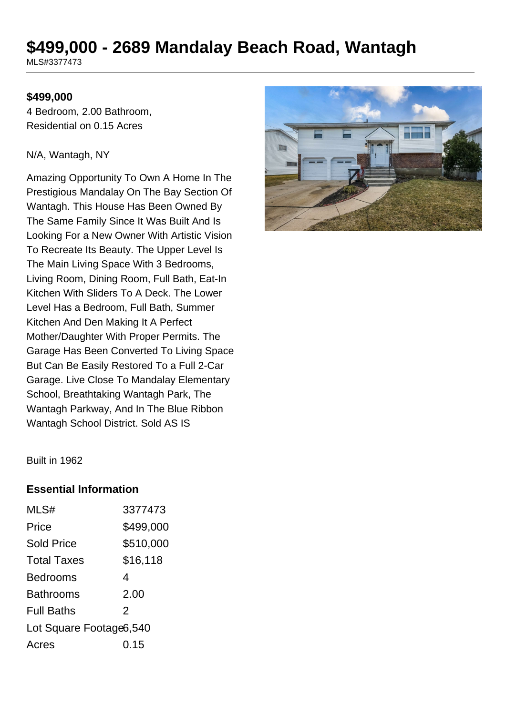# **\$499,000 - 2689 Mandalay Beach Road, Wantagh**

MLS#3377473

#### **\$499,000**

4 Bedroom, 2.00 Bathroom, Residential on 0.15 Acres

#### N/A, Wantagh, NY

Amazing Opportunity To Own A Home In The Prestigious Mandalay On The Bay Section Of Wantagh. This House Has Been Owned By The Same Family Since It Was Built And Is Looking For a New Owner With Artistic Vision To Recreate Its Beauty. The Upper Level Is The Main Living Space With 3 Bedrooms, Living Room, Dining Room, Full Bath, Eat-In Kitchen With Sliders To A Deck. The Lower Level Has a Bedroom, Full Bath, Summer Kitchen And Den Making It A Perfect Mother/Daughter With Proper Permits. The Garage Has Been Converted To Living Space But Can Be Easily Restored To a Full 2-Car Garage. Live Close To Mandalay Elementary School, Breathtaking Wantagh Park, The Wantagh Parkway, And In The Blue Ribbon Wantagh School District. Sold AS IS



Built in 1962

#### **Essential Information**

| MLS#                    | 3377473   |
|-------------------------|-----------|
| Price                   | \$499,000 |
| <b>Sold Price</b>       | \$510,000 |
| <b>Total Taxes</b>      | \$16,118  |
| <b>Bedrooms</b>         | 4         |
| <b>Bathrooms</b>        | 2.00      |
| <b>Full Baths</b>       | 2         |
| Lot Square Footage6,540 |           |
| Acres                   | 0.15      |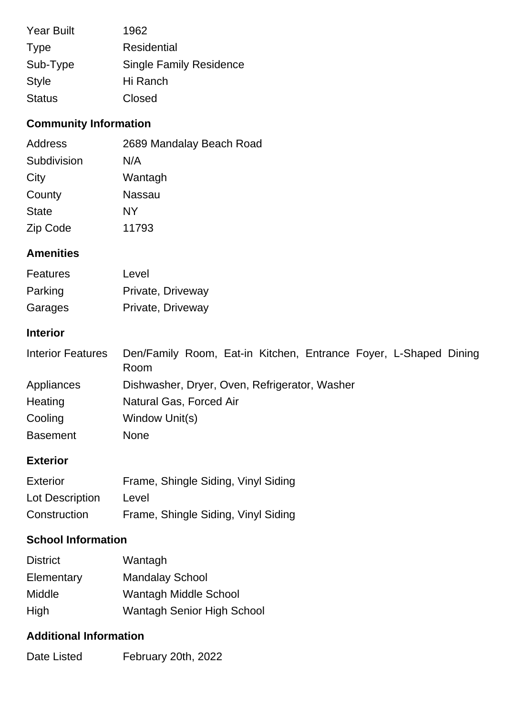| <b>Year Built</b> | 1962                           |
|-------------------|--------------------------------|
| <b>Type</b>       | Residential                    |
| Sub-Type          | <b>Single Family Residence</b> |
| <b>Style</b>      | Hi Ranch                       |
| <b>Status</b>     | Closed                         |

## **Community Information**

| Address      | 2689 Mandalay Beach Road |
|--------------|--------------------------|
| Subdivision  | N/A                      |
| City         | Wantagh                  |
| County       | Nassau                   |
| <b>State</b> | NΥ                       |
| Zip Code     | 11793                    |

## **Amenities**

| <b>Features</b> | Level             |
|-----------------|-------------------|
| Parking         | Private, Driveway |
| Garages         | Private, Driveway |

## **Interior**

| Den/Family Room, Eat-in Kitchen, Entrance Foyer, L-Shaped Dining<br>Room |
|--------------------------------------------------------------------------|
|                                                                          |
| Dishwasher, Dryer, Oven, Refrigerator, Washer                            |
| Natural Gas, Forced Air                                                  |
| Window Unit(s)                                                           |
| <b>None</b>                                                              |
|                                                                          |

## **Exterior**

| Exterior        | Frame, Shingle Siding, Vinyl Siding |
|-----------------|-------------------------------------|
| Lot Description | Level                               |
| Construction    | Frame, Shingle Siding, Vinyl Siding |

# **School Information**

| <b>District</b> | Wantagh                           |
|-----------------|-----------------------------------|
| Elementary      | <b>Mandalay School</b>            |
| <b>Middle</b>   | Wantagh Middle School             |
| High            | <b>Wantagh Senior High School</b> |

#### **Additional Information**

Date Listed February 20th, 2022